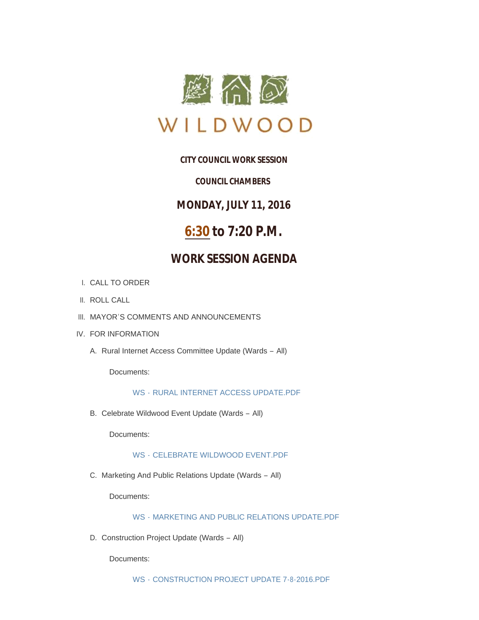

## **CITY COUNCIL WORK SESSION**

### *COUNCIL CHAMBERS*

**MONDAY, JULY 11, 2016**

# **6:30 to 7:20 P.M.**

# **WORK SESSION AGENDA**

- CALL TO ORDER I.
- II. ROLL CALL
- III. MAYOR'S COMMENTS AND ANNOUNCEMENTS
- IV. FOR INFORMATION
	- A. Rural Internet Access Committee Update (Wards All)

Documents:

#### WS - [RURAL INTERNET ACCESS UPDATE.PDF](http://mo-wildwood.civicplus.com/AgendaCenter/ViewFile/Item/7540?fileID=11209)

B. Celebrate Wildwood Event Update (Wards - All)

Documents:

WS - [CELEBRATE WILDWOOD EVENT.PDF](http://mo-wildwood.civicplus.com/AgendaCenter/ViewFile/Item/7541?fileID=11210)

C. Marketing And Public Relations Update (Wards - All)

Documents:

WS - [MARKETING AND PUBLIC RELATIONS UPDATE.PDF](http://mo-wildwood.civicplus.com/AgendaCenter/ViewFile/Item/7542?fileID=11211)

D. Construction Project Update (Wards - All)

Documents: